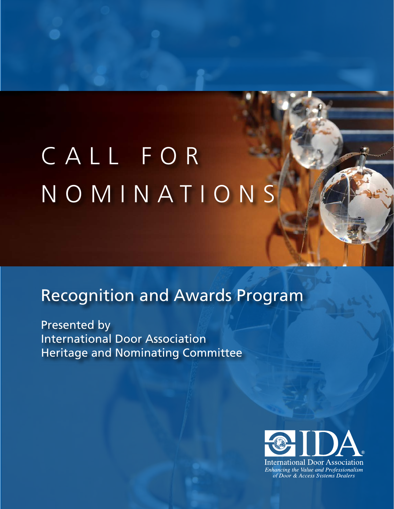# Call for NOMINATIONS

## Recognition and Awards Program

Presented by International Door Association Heritage and Nominating Committee

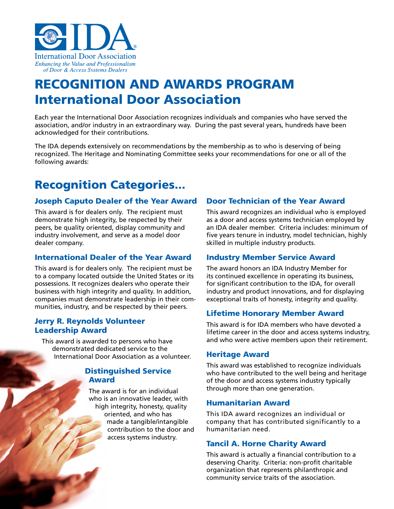

## RECOGNITION AND AWARDS PROGRAM International Door Association

Each year the International Door Association recognizes individuals and companies who have served the association, and/or industry in an extraordinary way. During the past several years, hundreds have been acknowledged for their contributions.

The IDA depends extensively on recommendations by the membership as to who is deserving of being recognized. The Heritage and Nominating Committee seeks your recommendations for one or all of the following awards:

### Recognition Categories...

#### Joseph Caputo Dealer of the Year Award

This award is for dealers only. The recipient must demonstrate high integrity, be respected by their peers, be quality oriented, display community and industry involvement, and serve as a model door dealer company.

#### International Dealer of the Year Award

This award is for dealers only. The recipient must be to a company located outside the United States or its possessions. It recognizes dealers who operate their business with high integrity and quality. In addition, companies must demonstrate leadership in their communities, industry, and be respected by their peers.

#### Jerry R. Reynolds Volunteer Leadership Award

This award is awarded to persons who have demonstrated dedicated service to the International Door Association as a volunteer.

#### Distinguished Service Award

The award is for an individual who is an innovative leader, with high integrity, honesty, quality oriented, and who has made a tangible/intangible contribution to the door and access systems industry.

#### Door Technician of the Year Award

This award recognizes an individual who is employed as a door and access systems technician employed by an IDA dealer member. Criteria includes: minimum of five years tenure in industry, model technician, highly skilled in multiple industry products.

#### Industry Member Service Award

The award honors an IDA Industry Member for its continued excellence in operating its business, for significant contribution to the IDA, for overall industry and product innovations, and for displaying exceptional traits of honesty, integrity and quality.

#### Lifetime Honorary Member Award

This award is for IDA members who have devoted a lifetime career in the door and access systems industry, and who were active members upon their retirement.

#### Heritage Award

This award was established to recognize individuals who have contributed to the well being and heritage of the door and access systems industry typically through more than one generation.

#### Humanitarian Award

This IDA award recognizes an individual or company that has contributed significantly to a humanitarian need.

#### Tancil A. Horne Charity Award

This award is actually a financial contribution to a deserving Charity. Criteria: non-profit charitable organization that represents philanthropic and community service traits of the association.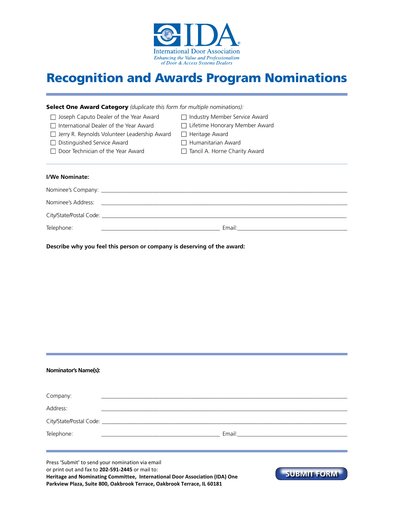

## Recognition and Awards Program Nominations

| <b>Select One Award Category</b> (duplicate this form for multiple nominations):                               |                                       |  |  |
|----------------------------------------------------------------------------------------------------------------|---------------------------------------|--|--|
| $\Box$ Joseph Caputo Dealer of the Year Award                                                                  | □ Industry Member Service Award       |  |  |
| International Dealer of the Year Award<br>$\mathsf{L}$                                                         | $\Box$ Lifetime Honorary Member Award |  |  |
| $\Box$ Jerry R. Reynolds Volunteer Leadership Award                                                            | $\Box$ Heritage Award                 |  |  |
| Distinguished Service Award<br>$\perp$                                                                         | $\Box$ Humanitarian Award             |  |  |
| Door Technician of the Year Award                                                                              | $\Box$ Tancil A. Horne Charity Award  |  |  |
|                                                                                                                |                                       |  |  |
|                                                                                                                |                                       |  |  |
| I/We Nominate:                                                                                                 |                                       |  |  |
|                                                                                                                |                                       |  |  |
| Nominee's Address:                                                                                             |                                       |  |  |
| City/State/Postal Code: 2008 - 2008 - 2014 - 2014 - 2014 - 2014 - 2014 - 2014 - 2014 - 2014 - 2014 - 2014 - 20 |                                       |  |  |
| Telephone:                                                                                                     | Email:                                |  |  |

**Describe why you feel this person or company is deserving of the award:**

| <b>Nominator's Name(s):</b> |  |
|-----------------------------|--|
|                             |  |

| Company:                                                     |  |
|--------------------------------------------------------------|--|
| Address:                                                     |  |
|                                                              |  |
| Telephone:<br><u>and the state of the state of the state</u> |  |
|                                                              |  |
|                                                              |  |

Press 'Submit' to send your nomination via email or print out and fax to **202-591-2445** or mail to: **Heritage and Nominating Committee, International Door Association (IDA) One Parkview Plaza, Suite 800, Oakbrook Terrace, Oakbrook Terrace, IL 60181**